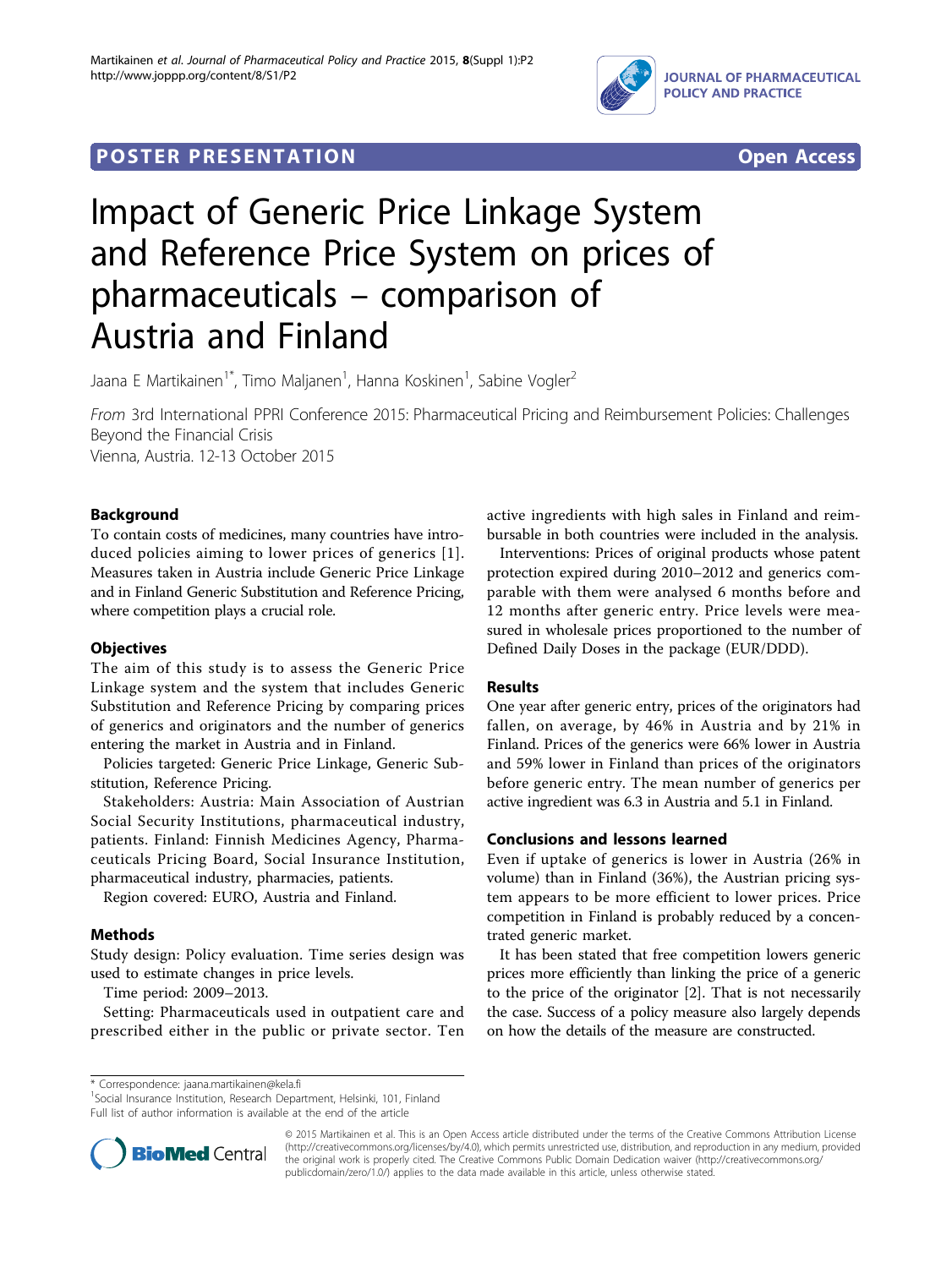

# **POSTER PRESENTATION CONSUMING THE SECOND CONSUMING THE SECOND CONSUMING THE SECOND CONSUMING THE SECOND CONSUMING THE SECOND CONSUMING THE SECOND CONSUMING THE SECOND CONSUMING THE SECOND CONSUMING THE SECOND CONSUMING**



# Impact of Generic Price Linkage System and Reference Price System on prices of pharmaceuticals – comparison of Austria and Finland

Jaana E Martikainen<sup>1\*</sup>, Timo Maljanen<sup>1</sup>, Hanna Koskinen<sup>1</sup>, Sabine Vogler<sup>2</sup>

From 3rd International PPRI Conference 2015: Pharmaceutical Pricing and Reimbursement Policies: Challenges Beyond the Financial Crisis Vienna, Austria. 12-13 October 2015

Background

To contain costs of medicines, many countries have introduced policies aiming to lower prices of generics [[1\]](#page-1-0). Measures taken in Austria include Generic Price Linkage and in Finland Generic Substitution and Reference Pricing, where competition plays a crucial role.

# **Objectives**

The aim of this study is to assess the Generic Price Linkage system and the system that includes Generic Substitution and Reference Pricing by comparing prices of generics and originators and the number of generics entering the market in Austria and in Finland.

Policies targeted: Generic Price Linkage, Generic Substitution, Reference Pricing.

Stakeholders: Austria: Main Association of Austrian Social Security Institutions, pharmaceutical industry, patients. Finland: Finnish Medicines Agency, Pharmaceuticals Pricing Board, Social Insurance Institution, pharmaceutical industry, pharmacies, patients.

Region covered: EURO, Austria and Finland.

## Methods

Study design: Policy evaluation. Time series design was used to estimate changes in price levels.

Time period: 2009–2013.

Setting: Pharmaceuticals used in outpatient care and prescribed either in the public or private sector. Ten active ingredients with high sales in Finland and reimbursable in both countries were included in the analysis.

Interventions: Prices of original products whose patent protection expired during 2010–2012 and generics comparable with them were analysed 6 months before and 12 months after generic entry. Price levels were measured in wholesale prices proportioned to the number of Defined Daily Doses in the package (EUR/DDD).

# **Results**

One year after generic entry, prices of the originators had fallen, on average, by 46% in Austria and by 21% in Finland. Prices of the generics were 66% lower in Austria and 59% lower in Finland than prices of the originators before generic entry. The mean number of generics per active ingredient was 6.3 in Austria and 5.1 in Finland.

## Conclusions and lessons learned

Even if uptake of generics is lower in Austria (26% in volume) than in Finland (36%), the Austrian pricing system appears to be more efficient to lower prices. Price competition in Finland is probably reduced by a concentrated generic market.

It has been stated that free competition lowers generic prices more efficiently than linking the price of a generic to the price of the originator [\[2](#page-1-0)]. That is not necessarily the case. Success of a policy measure also largely depends on how the details of the measure are constructed.

<sup>1</sup>Social Insurance Institution, Research Department, Helsinki, 101, Finland Full list of author information is available at the end of the article



© 2015 Martikainen et al. This is an Open Access article distributed under the terms of the Creative Commons Attribution License [\(http://creativecommons.org/licenses/by/4.0](http://creativecommons.org/licenses/by/4.0)), which permits unrestricted use, distribution, and reproduction in any medium, provided the original work is properly cited. The Creative Commons Public Domain Dedication waiver ([http://creativecommons.org/](http://creativecommons.org/publicdomain/zero/1.0/) [publicdomain/zero/1.0/](http://creativecommons.org/publicdomain/zero/1.0/)) applies to the data made available in this article, unless otherwise stated

<sup>\*</sup> Correspondence: [jaana.martikainen@kela.fi](mailto:jaana.martikainen@kela.fi)